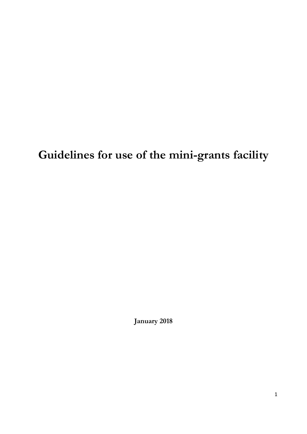**Guidelines for use of the mini-grants facility**

**January 2018**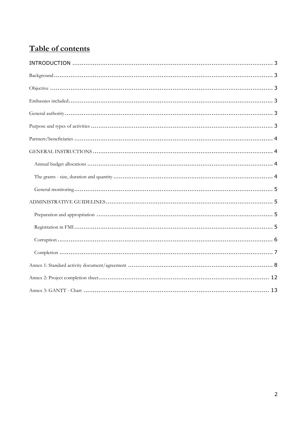# Table of contents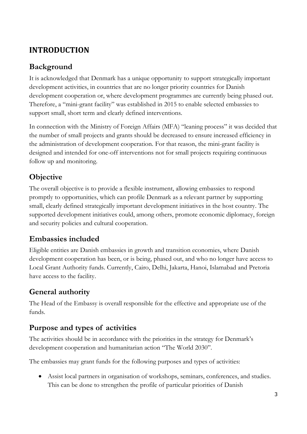# <span id="page-2-0"></span>**INTRODUCTION**

# <span id="page-2-1"></span>**Background**

It is acknowledged that Denmark has a unique opportunity to support strategically important development activities, in countries that are no longer priority countries for Danish development cooperation or, where development programmes are currently being phased out. Therefore, a "mini-grant facility" was established in 2015 to enable selected embassies to support small, short term and clearly defined interventions.

In connection with the Ministry of Foreign Affairs (MFA) "leaning process" it was decided that the number of small projects and grants should be decreased to ensure increased efficiency in the administration of development cooperation. For that reason, the mini-grant facility is designed and intended for one-off interventions not for small projects requiring continuous follow up and monitoring.

# <span id="page-2-2"></span>**Objective**

The overall objective is to provide a flexible instrument, allowing embassies to respond promptly to opportunities, which can profile Denmark as a relevant partner by supporting small, clearly defined strategically important development initiatives in the host country. The supported development initiatives could, among others, promote economic diplomacy, foreign and security policies and cultural cooperation.

# <span id="page-2-3"></span>**Embassies included**

Eligible entities are Danish embassies in growth and transition economies, where Danish development cooperation has been, or is being, phased out, and who no longer have access to Local Grant Authority funds. Currently, Cairo, Delhi, Jakarta, Hanoi, Islamabad and Pretoria have access to the facility.

# <span id="page-2-4"></span>**General authority**

The Head of the Embassy is overall responsible for the effective and appropriate use of the funds.

# <span id="page-2-5"></span>**Purpose and types of activities**

The activities should be in accordance with the priorities in the strategy for Denmark's development cooperation and humanitarian action "The World 2030".

The embassies may grant funds for the following purposes and types of activities:

 Assist local partners in organisation of workshops, seminars, conferences, and studies. This can be done to strengthen the profile of particular priorities of Danish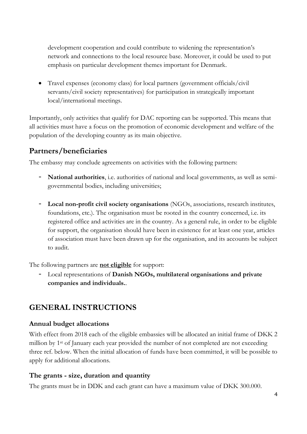development cooperation and could contribute to widening the representation's network and connections to the local resource base. Moreover, it could be used to put emphasis on particular development themes important for Denmark.

 Travel expenses (economy class) for local partners (government officials/civil servants/civil society representatives) for participation in strategically important local/international meetings.

Importantly, only activities that qualify for DAC reporting can be supported. This means that all activities must have a focus on the promotion of economic development and welfare of the population of the developing country as its main objective.

## <span id="page-3-0"></span>**Partners/beneficiaries**

The embassy may conclude agreements on activities with the following partners:

- **National authorities**, i.e. authorities of national and local governments, as well as semigovernmental bodies, including universities;
- **Local non-profit civil society organisations** (NGOs, associations, research institutes, foundations, etc.). The organisation must be rooted in the country concerned, i.e. its registered office and activities are in the country. As a general rule, in order to be eligible for support, the organisation should have been in existence for at least one year, articles of association must have been drawn up for the organisation, and its accounts be subject to audit.

The following partners are **not eligible** for support:

- Local representations of **Danish NGOs, multilateral organisations and private companies and individuals.**.

# <span id="page-3-1"></span>**GENERAL INSTRUCTIONS**

### <span id="page-3-2"></span>**Annual budget allocations**

With effect from 2018 each of the eligible embassies will be allocated an initial frame of DKK 2 million by 1st of January each year provided the number of not completed are not exceeding three ref. below. When the initial allocation of funds have been committed, it will be possible to apply for additional allocations.

### <span id="page-3-3"></span>**The grants - size, duration and quantity**

The grants must be in DDK and each grant can have a maximum value of DKK 300.000.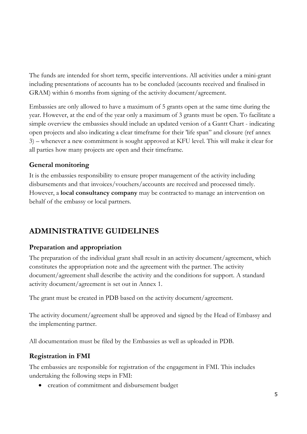The funds are intended for short term, specific interventions. All activities under a mini-grant including presentations of accounts has to be concluded (accounts received and finalised in GRAM) within 6 months from signing of the activity document/agreement.

Embassies are only allowed to have a maximum of 5 grants open at the same time during the year. However, at the end of the year only a maximum of 3 grants must be open. To facilitate a simple overview the embassies should include an updated version of a Gantt Chart - indicating open projects and also indicating a clear timeframe for their 'life span" and closure (ref annex 3) – whenever a new commitment is sought approved at KFU level. This will make it clear for all parties how many projects are open and their timeframe.

### <span id="page-4-0"></span>**General monitoring**

It is the embassies responsibility to ensure proper management of the activity including disbursements and that invoices/vouchers/accounts are received and processed timely. However, a **local consultancy company** may be contracted to manage an intervention on behalf of the embassy or local partners.

# <span id="page-4-1"></span>**ADMINISTRATIVE GUIDELINES**

### <span id="page-4-2"></span>**Preparation and appropriation**

The preparation of the individual grant shall result in an activity document/agreement, which constitutes the appropriation note and the agreement with the partner. The activity document/agreement shall describe the activity and the conditions for support. A standard activity document/agreement is set out in Annex 1.

The grant must be created in PDB based on the activity document/agreement.

The activity document/agreement shall be approved and signed by the Head of Embassy and the implementing partner.

All documentation must be filed by the Embassies as well as uploaded in PDB.

## <span id="page-4-3"></span>**Registration in FMI**

The embassies are responsible for registration of the engagement in FMI. This includes undertaking the following steps in FMI:

creation of commitment and disbursement budget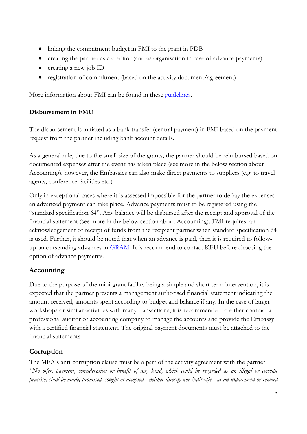- linking the commitment budget in FMI to the grant in PDB
- creating the partner as a creditor (and as organisation in case of advance payments)
- creating a new job ID
- registration of commitment (based on the activity document/agreement)

More information about FMI can be found in these [guidelines.](http://intranet/Regler/Sider/FMI-Guides.aspx)

### **Disbursement in FMU**

The disbursement is initiated as a bank transfer (central payment) in FMI based on the payment request from the partner including bank account details.

As a general rule, due to the small size of the grants, the partner should be reimbursed based on documented expenses after the event has taken place (see more in the below section about Accounting), however, the Embassies can also make direct payments to suppliers (e.g. to travel agents, conference facilities etc.).

Only in exceptional cases where it is assessed impossible for the partner to defray the expenses an advanced payment can take place. Advance payments must to be registered using the "standard specification 64". Any balance will be disbursed after the receipt and approval of the financial statement (see more in the below section about Accounting). FMI requires an acknowledgement of receipt of funds from the recipient partner when standard specification 64 is used. Further, it should be noted that when an advance is paid, then it is required to followup on outstanding advances in [GRAM.](https://accounting.app.u1.um.dk/?SPHostUrl=http%3A%2F%2Fapplikationer%2Fwebsteder%2FTilskud%2Fgram) It is recommend to contact KFU before choosing the option of advance payments.

## **Accounting**

Due to the purpose of the mini-grant facility being a simple and short term intervention, it is expected that the partner presents a management authorised financial statement indicating the amount received, amounts spent according to budget and balance if any. In the case of larger workshops or similar activities with many transactions, it is recommended to either contract a professional auditor or accounting company to manage the accounts and provide the Embassy with a certified financial statement. The original payment documents must be attached to the financial statements.

## <span id="page-5-0"></span>**Corruption**

The MFA's anti-corruption clause must be a part of the activity agreement with the partner. *"No offer, payment, consideration or benefit of any kind, which could be regarded as an illegal or corrupt practise, shall be made, promised, sought or accepted - neither directly nor indirectly - as an inducement or reward*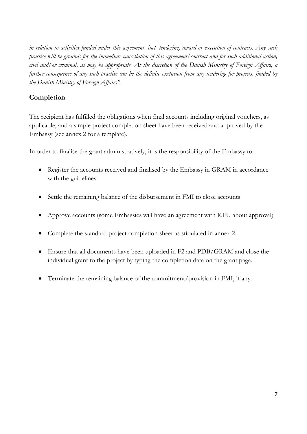*in relation to activities funded under this agreement, incl. tendering, award or execution of contracts. Any such practise will be grounds for the immediate cancellation of this agreement/contract and for such additional action, civil and/or criminal, as may be appropriate. At the discretion of the Danish Ministry of Foreign Affairs, a further consequence of any such practise can be the definite exclusion from any tendering for projects, funded by the Danish Ministry of Foreign Affairs".*

### <span id="page-6-0"></span>**Completion**

The recipient has fulfilled the obligations when final accounts including original vouchers, as applicable, and a simple project completion sheet have been received and approved by the Embassy (see annex 2 for a template).

In order to finalise the grant administratively, it is the responsibility of the Embassy to:

- Register the accounts received and finalised by the Embassy in GRAM in accordance with the guidelines.
- Settle the remaining balance of the disbursement in FMI to close accounts
- Approve accounts (some Embassies will have an agreement with KFU about approval)
- Complete the standard project completion sheet as stipulated in annex 2.
- Ensure that all documents have been uploaded in F2 and PDB/GRAM and close the individual grant to the project by typing the completion date on the grant page.
- Terminate the remaining balance of the commitment/provision in FMI, if any.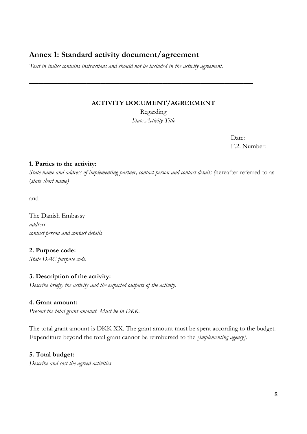## <span id="page-7-0"></span>**Annex 1: Standard activity document/agreement**

*Text in italics contains instructions and should not be included in the activity agreement.*

#### **ACTIVITY DOCUMENT/AGREEMENT**

**\_\_\_\_\_\_\_\_\_\_\_\_\_\_\_\_\_\_\_\_\_\_\_\_\_\_\_\_\_\_\_\_\_\_\_\_\_\_\_\_\_\_\_\_\_\_\_**

Regarding *State Activity Title*

> Date: F.2. Number:

#### **1. Parties to the activity:**

*State name and address of implementing partner, contact person and contact details (*hereafter referred to as (*state short name)* 

and

The Danish Embassy *address contact person and contact details* 

### **2. Purpose code:**

*State DAC purpose code.* 

#### **3. Description of the activity:**

*Describe briefly the activity and the expected outputs of the activity.*

#### **4. Grant amount:**

*Present the total grant amount. Must be in DKK.*

The total grant amount is DKK XX. The grant amount must be spent according to the budget. Expenditure beyond the total grant cannot be reimbursed to the *[implementing agency]*.

#### **5. Total budget:**

*Describe and cost the agreed activities*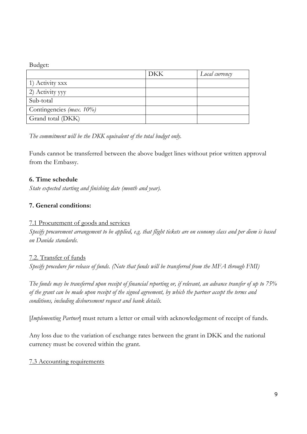#### Budget:

|                          | <b>DKK</b> | Local currency |
|--------------------------|------------|----------------|
| 1) Activity xxx          |            |                |
| 2) Activity yyy          |            |                |
| Sub-total                |            |                |
| Contingencies (max. 10%) |            |                |
| Grand total (DKK)        |            |                |

*The commitment will be the DKK equivalent of the total budget only.* 

Funds cannot be transferred between the above budget lines without prior written approval from the Embassy.

#### **6. Time schedule**

*State expected starting and finishing date (month and year).* 

### **7. General conditions:**

#### 7.1 Procurement of goods and services

*Specify procurement arrangement to be applied, e.g. that flight tickets are on economy class and per diem is based on Danida standards.*

#### 7.2. Transfer of funds

*Specify procedure for release of funds. (Note that funds will be transferred from the MFA through FMI)*

*The funds may be transferred upon receipt of financial reporting or, if relevant, an advance transfer of up to 75% of the grant can be made upon receipt of the signed agreement, by which the partner accept the terms and conditions, including disbursement request and bank details.*

[*Implementing Partner*] must return a letter or email with acknowledgement of receipt of funds.

Any loss due to the variation of exchange rates between the grant in DKK and the national currency must be covered within the grant.

#### 7.3 Accounting requirements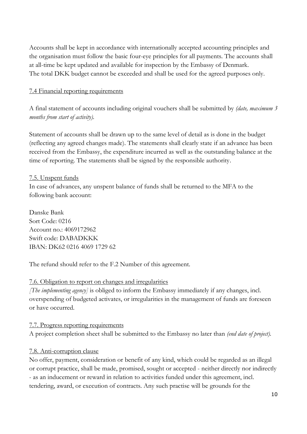Accounts shall be kept in accordance with internationally accepted accounting principles and the organisation must follow the basic four-eye principles for all payments. The accounts shall at all-time be kept updated and available for inspection by the Embassy of Denmark. The total DKK budget cannot be exceeded and shall be used for the agreed purposes only.

#### 7.4 Financial reporting requirements

A final statement of accounts including original vouchers shall be submitted by *(date, maximum 3 months from start of activity).* 

Statement of accounts shall be drawn up to the same level of detail as is done in the budget (reflecting any agreed changes made). The statements shall clearly state if an advance has been received from the Embassy, the expenditure incurred as well as the outstanding balance at the time of reporting. The statements shall be signed by the responsible authority.

#### 7.5. Unspent funds

In case of advances, any unspent balance of funds shall be returned to the MFA to the following bank account:

Danske Bank Sort Code: 0216 Account no.: 4069172962 Swift code: DABADKKK IBAN: DK62 0216 4069 1729 62

The refund should refer to the F.2 Number of this agreement.

#### 7.6. Obligation to report on changes and irregularities

*[The implementing agency]* is obliged to inform the Embassy immediately if any changes, incl. overspending of budgeted activates, or irregularities in the management of funds are foreseen or have occurred.

#### 7.7. Progress reporting requirements

A project completion sheet shall be submitted to the Embassy no later than *(end date of project).* 

#### 7.8. Anti-corruption clause

No offer, payment, consideration or benefit of any kind, which could be regarded as an illegal or corrupt practice, shall be made, promised, sought or accepted - neither directly nor indirectly - as an inducement or reward in relation to activities funded under this agreement, incl. tendering, award, or execution of contracts. Any such practise will be grounds for the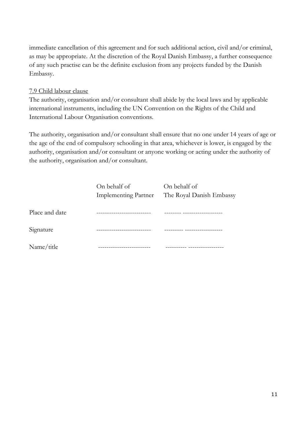immediate cancellation of this agreement and for such additional action, civil and/or criminal, as may be appropriate. At the discretion of the Royal Danish Embassy, a further consequence of any such practise can be the definite exclusion from any projects funded by the Danish Embassy.

#### 7.9 Child labour clause

The authority, organisation and/or consultant shall abide by the local laws and by applicable international instruments, including the UN Convention on the Rights of the Child and International Labour Organisation conventions.

The authority, organisation and/or consultant shall ensure that no one under 14 years of age or the age of the end of compulsory schooling in that area, whichever is lower, is engaged by the authority, organisation and/or consultant or anyone working or acting under the authority of the authority, organisation and/or consultant.

| On behalf of                | On behalf of             |
|-----------------------------|--------------------------|
| <b>Implementing Partner</b> | The Royal Danish Embassy |
|                             |                          |
|                             |                          |
|                             |                          |
|                             |                          |
|                             |                          |
|                             |                          |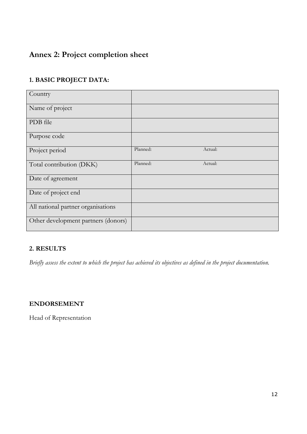# <span id="page-11-0"></span>**Annex 2: Project completion sheet**

### **1. BASIC PROJECT DATA:**

| Country                             |          |         |  |
|-------------------------------------|----------|---------|--|
| Name of project                     |          |         |  |
| PDB file                            |          |         |  |
| Purpose code                        |          |         |  |
| Project period                      | Planned: | Actual: |  |
| Total contribution (DKK)            | Planned: | Actual: |  |
| Date of agreement                   |          |         |  |
| Date of project end                 |          |         |  |
| All national partner organisations  |          |         |  |
| Other development partners (donors) |          |         |  |

### **2. RESULTS**

*Briefly assess the extent to which the project has achieved its objectives as defined in the project documentation.*

### **ENDORSEMENT**

Head of Representation